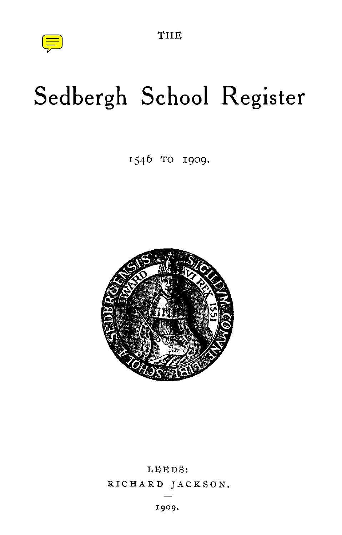

THE

# **Sedbergh School Register**

1546 TO 1909.



LEEDS: RICHARD JACKSON.

r9o9.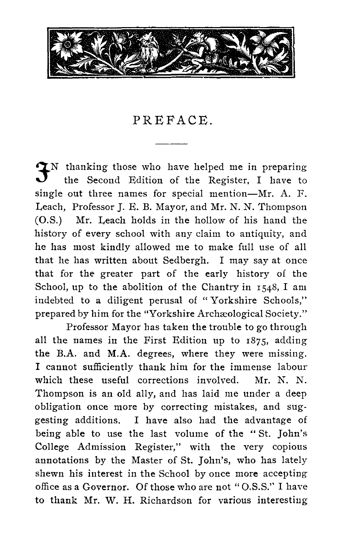

### PREFACE.

**I**N thanking those who have helped me in preparing the Second Edition of the Register, I have to single out three names for special mention—Mr. A. F. Leach, Professor J. E. B. Mayor, and Mr. N. N. Thompson (O.S.) Mr. Leach holds in the hollow of his hand the history of every school with any claim to antiquity, and he has most kindly allowed me to make full use of all that he has written about Sedbergh. I may say at once that for the greater part of the early history of the School, up to the abolition of the Chantry in 1548, I am indebted to a diligent perusal of " Yorkshire Schools," prepared by him for the "Yorkshire Archaeological Society."

Professor Mayor has taken the trouble to go through all the names in the First Edition up to 1875, adding the B.A. and M.A. degrees, where they were missing. I cannot sufficiently thank him for the immense labour which these useful corrections involved. Mr. N. N. Thompson is an old ally, and has laid me under a deep obligation once more by correcting mistakes, and suggesting additions. I have also had the advantage of being able to use the last volume of the " St. John's College Admission Register," with the very copious annotations by the Master of St. John's, who has lately shewn his interest in the School by once more accepting office as a Governor. Of those who are not " O.S.S." I have to thank Mr. W. H. Richardson for various interesting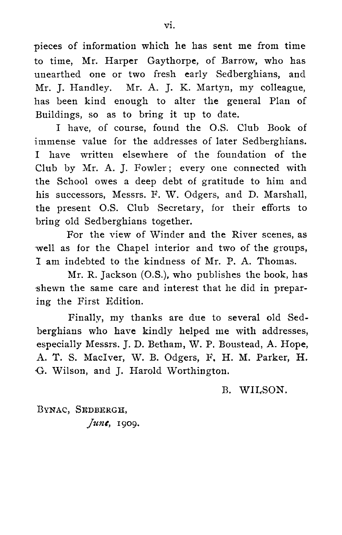pieces of information which he has sent me from time to time, Mr. Harper Gaythorpe, of Barrow, who has unearthed one or two fresh early Sedberghians, and Mr. J. Handley. Mr. A. J. K. Martyn, my colleague, has been kind enough to alter the general Plan of Buildings, so as to bring it up to date.

I have, of course, found the O.S. Club Book of immense value for the addresses of later Sedberghians. I have written elsewhere of the foundation of the Club by Mr. A. J. Fowler ; every one connected with the School owes a deep debt of gratitude to him and his successors, Messrs. F. W. Odgers, and D. Marshall, the present O.S. Club Secretary, for their efforts to bring old Sedberghians together.

For the view of Winder and the River scenes, as well as for the Chapel interior and two of the groups, I am indebted to the kindness of Mr. P. A. Thomas.

Mr. R. Jackson (0.S.), who publishes the book, has shewn the same care and interest that he did in preparing the First Edition.

Finally, my thanks are due to several old Sedberghians who have kindly helped me with addresses, especially Messrs. J. D. Betham, W. P. Boustead, A. Hope, A. T. S. Maclver, W. B. Odgers, F. H. M. Parker, H. G. Wilson, and J. Harold Worthington.

B. WILSON.

BYNAC, SEDBERGH, *June,* 1909.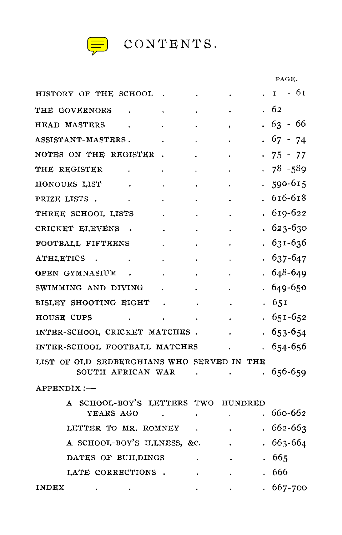

CONTENTS.

 $\overline{\phantom{a}}$  $\sim$ 

|                                                                 |  |  |     |         |  | PAGE.     |
|-----------------------------------------------------------------|--|--|-----|---------|--|-----------|
| HISTORY OF THE SCHOOL                                           |  |  |     |         |  | - 61<br>I |
| THE GOVERNORS                                                   |  |  |     |         |  | 62        |
| HEAD MASTERS                                                    |  |  |     |         |  | $63 - 66$ |
| ASSISTANT-MASTERS.                                              |  |  |     |         |  | $67 - 74$ |
| NOTES ON THE REGISTER                                           |  |  |     |         |  | $75 - 77$ |
| THE REGISTER                                                    |  |  |     |         |  | 78 - 589  |
| HONOURS LIST                                                    |  |  |     |         |  | 590-615   |
| PRIZE LISTS.                                                    |  |  |     |         |  | 616-618   |
| THREE SCHOOL LISTS                                              |  |  |     |         |  | 619-622   |
| CRICKET ELEVENS                                                 |  |  |     |         |  | 623-630   |
| FOOTBALL FIFTEENS                                               |  |  |     |         |  | 631-636   |
| <b>ATHLETICS</b>                                                |  |  |     |         |  | 637-647   |
| OPEN GYMNASIUM                                                  |  |  |     |         |  | 648-649   |
| SWIMMING AND DIVING                                             |  |  |     |         |  | 649-650   |
| BISLEY SHOOTING EIGHT                                           |  |  |     |         |  | . 651     |
| <b>HOUSE CUPS</b>                                               |  |  |     |         |  | 651-652   |
| INTER-SCHOOL CRICKET MATCHES.                                   |  |  |     |         |  | 653-654   |
| INTER-SCHOOL FOOTBALL MATCHES                                   |  |  |     |         |  | 654-656   |
| LIST OF OLD SEDBERGHIANS WHO SERVED IN THE<br>SOUTH AFRICAN WAR |  |  |     |         |  | 656-659   |
| APPENDIX:-                                                      |  |  |     |         |  |           |
| SCHOOL-BOY'S LETTERS<br>A                                       |  |  | TWO | HUNDRED |  |           |
| YEARS AGO                                                       |  |  |     |         |  | 660-662   |
| LETTER TO MR. ROMNEY                                            |  |  |     |         |  | 662-663   |
| A SCHOOL-BOY'S ILLNESS, &C.                                     |  |  |     |         |  | 663-664   |
| DATES OF BUILDINGS                                              |  |  |     |         |  | 665       |
| LATE CORRECTIONS                                                |  |  |     |         |  | 666       |
| INDEX                                                           |  |  |     |         |  | 667-700   |
|                                                                 |  |  |     |         |  |           |
|                                                                 |  |  |     |         |  |           |
|                                                                 |  |  |     |         |  |           |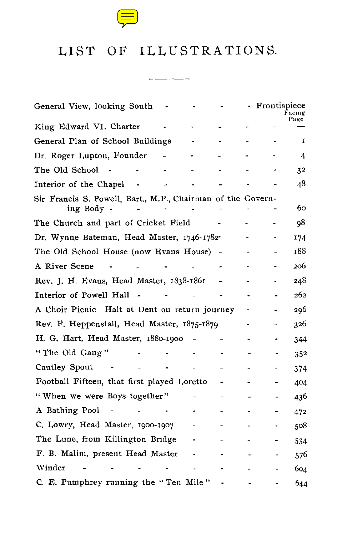

## LIST OF ILLUSTRATIONS.

| ILLUSTRATIONS.<br>LIST<br>OF<br>Frontispiece<br>General View, looking South<br>$\blacksquare$<br>King Edward VI. Charter<br>General Plan of School Buildings<br>Dr. Roger Lupton, Founder<br>The Old School<br>Interior of the Chapel<br>Sir Francis S. Powell, Bart., M.P., Chairman of the Govern-<br>ing Body -<br>The Church and part of Cricket Field<br>Dr. Wynne Bateman, Head Master, 1746-1782.<br>The Old School House (now Evans House)<br>A River Scene<br>Rev. J. H. Evans, Head Master, 1838-1861<br>Interior of Powell Hall<br>A Choir Picnic-Halt at Dent on return journey<br>Rev. F. Heppenstall, Head Master, 1875-1879<br>H. G. Hart, Head Master, 1880-1900<br>"The Old Gang"<br>Cautley Spout<br>Football Fifteen, that first played Loretto<br>"When we were Boys together"<br>A Bathing Pool<br>C. Lowry, Head Master, 1900-1907<br>The Lune, from Killington Bridge |                |
|----------------------------------------------------------------------------------------------------------------------------------------------------------------------------------------------------------------------------------------------------------------------------------------------------------------------------------------------------------------------------------------------------------------------------------------------------------------------------------------------------------------------------------------------------------------------------------------------------------------------------------------------------------------------------------------------------------------------------------------------------------------------------------------------------------------------------------------------------------------------------------------------|----------------|
|                                                                                                                                                                                                                                                                                                                                                                                                                                                                                                                                                                                                                                                                                                                                                                                                                                                                                              |                |
|                                                                                                                                                                                                                                                                                                                                                                                                                                                                                                                                                                                                                                                                                                                                                                                                                                                                                              |                |
|                                                                                                                                                                                                                                                                                                                                                                                                                                                                                                                                                                                                                                                                                                                                                                                                                                                                                              | Facing<br>Page |
|                                                                                                                                                                                                                                                                                                                                                                                                                                                                                                                                                                                                                                                                                                                                                                                                                                                                                              |                |
|                                                                                                                                                                                                                                                                                                                                                                                                                                                                                                                                                                                                                                                                                                                                                                                                                                                                                              | 1              |
|                                                                                                                                                                                                                                                                                                                                                                                                                                                                                                                                                                                                                                                                                                                                                                                                                                                                                              | 4              |
|                                                                                                                                                                                                                                                                                                                                                                                                                                                                                                                                                                                                                                                                                                                                                                                                                                                                                              | 32             |
|                                                                                                                                                                                                                                                                                                                                                                                                                                                                                                                                                                                                                                                                                                                                                                                                                                                                                              | 48             |
|                                                                                                                                                                                                                                                                                                                                                                                                                                                                                                                                                                                                                                                                                                                                                                                                                                                                                              | 60             |
|                                                                                                                                                                                                                                                                                                                                                                                                                                                                                                                                                                                                                                                                                                                                                                                                                                                                                              | 98             |
|                                                                                                                                                                                                                                                                                                                                                                                                                                                                                                                                                                                                                                                                                                                                                                                                                                                                                              | 174            |
|                                                                                                                                                                                                                                                                                                                                                                                                                                                                                                                                                                                                                                                                                                                                                                                                                                                                                              | 188            |
|                                                                                                                                                                                                                                                                                                                                                                                                                                                                                                                                                                                                                                                                                                                                                                                                                                                                                              | 206            |
|                                                                                                                                                                                                                                                                                                                                                                                                                                                                                                                                                                                                                                                                                                                                                                                                                                                                                              | 248            |
|                                                                                                                                                                                                                                                                                                                                                                                                                                                                                                                                                                                                                                                                                                                                                                                                                                                                                              | 262            |
|                                                                                                                                                                                                                                                                                                                                                                                                                                                                                                                                                                                                                                                                                                                                                                                                                                                                                              | 296            |
|                                                                                                                                                                                                                                                                                                                                                                                                                                                                                                                                                                                                                                                                                                                                                                                                                                                                                              | 326            |
|                                                                                                                                                                                                                                                                                                                                                                                                                                                                                                                                                                                                                                                                                                                                                                                                                                                                                              | 344            |
|                                                                                                                                                                                                                                                                                                                                                                                                                                                                                                                                                                                                                                                                                                                                                                                                                                                                                              | 352            |
|                                                                                                                                                                                                                                                                                                                                                                                                                                                                                                                                                                                                                                                                                                                                                                                                                                                                                              | 374            |
|                                                                                                                                                                                                                                                                                                                                                                                                                                                                                                                                                                                                                                                                                                                                                                                                                                                                                              | 404            |
|                                                                                                                                                                                                                                                                                                                                                                                                                                                                                                                                                                                                                                                                                                                                                                                                                                                                                              | 436            |
|                                                                                                                                                                                                                                                                                                                                                                                                                                                                                                                                                                                                                                                                                                                                                                                                                                                                                              | 472            |
|                                                                                                                                                                                                                                                                                                                                                                                                                                                                                                                                                                                                                                                                                                                                                                                                                                                                                              | 508            |
|                                                                                                                                                                                                                                                                                                                                                                                                                                                                                                                                                                                                                                                                                                                                                                                                                                                                                              | 534            |
| F. B. Malim, present Head Master -                                                                                                                                                                                                                                                                                                                                                                                                                                                                                                                                                                                                                                                                                                                                                                                                                                                           | 576            |
| Winder                                                                                                                                                                                                                                                                                                                                                                                                                                                                                                                                                                                                                                                                                                                                                                                                                                                                                       | 604            |
| C. E. Pumphrey running the "Ten Mile" -                                                                                                                                                                                                                                                                                                                                                                                                                                                                                                                                                                                                                                                                                                                                                                                                                                                      | 644            |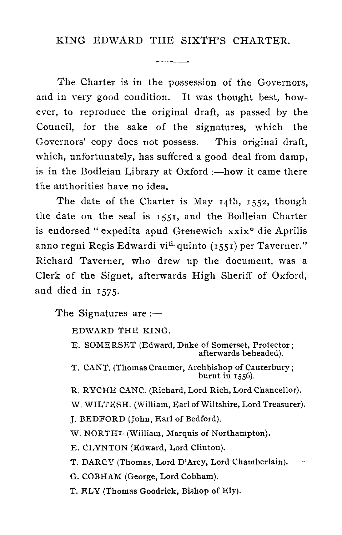#### KING EDWARD THE SIXTH'S CHARTER.

--

The Charter is in the possession of the Governors, and in very good condition. It was thought best, however, to reproduce the original draft, as passed by the Council, for the sake of the signatures, which the Governors' copy does not possess. This original draft, which, unfortunately, has suffered a good deal from damp, is in the Bodleian Library at Oxford :—how it came there the authorities have no idea.

The date of the Charter is May 14th, 1552; though the date on the seal is 1551, and the Bodleian Charter is endorsed " expedita apud Grenewich xxix° die Aprilis anno regni Regis Edwardi vi<sup>ti</sup> quinto (1551) per Taverner." Richard Taverner, who drew up the document, was a Clerk of the Signet, afterwards High Sheriff of Oxford, and died in 1575.

The Signatures are  $:$ 

EDWARD THE KING.

E. SOMERSET (Edward, Duke of Somerset, Protector ; afterwards beheaded).

T. CANT. (Thomas Cranmer, Archbishop of Canterbury ; burnt in 1556).

R. RYCHE CANC. (Richard, Lord Rich, Lord Chancellor).

W, WILTESH. (William, Earl of Wiltshire, Lord Treasurer).

J. BEDFORD (John, Earl of Bedford).

W. NORTHr. (William, Marquis of Northampton).

E. CLYNTON (Edward, Lord Clinton).

T. DARCY (Thomas, Lord D'Arcy, Lord Chamberlain).

G. COBHAM (George, Lord Cobham).

T. ELY (Thomas Goodrick, Bishop of Ely).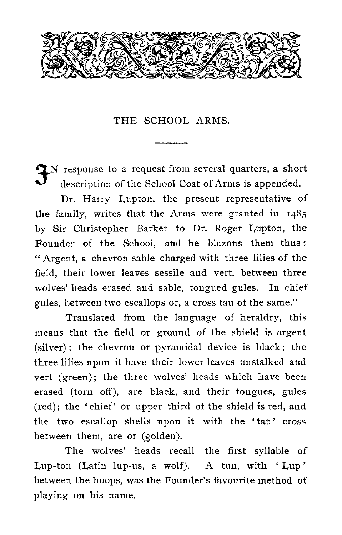

### THE SCHOOL ARMS.

 $\mathbf{\Sigma}$  N response to a request from several quarters, a short description of the School Coat of Arms is appended.

Dr. Harry Lupton, the present representative of the family, writes that the Arms were granted in 1485 by Sir Christopher Barker to Dr. Roger Lupton, the Founder of the School, and he blazons them thus : " Argent, a chevron sable charged with three lilies of the field, their lower leaves sessile and vert, between three wolves' heads erased and sable, tongued gules. In chief gules, between two escallops or, a cross tau of the same."

Translated from the language of heraldry, this means that the field or ground of the shield is argent (silver); the chevron or pyramidal device is black; the three lilies upon it have their lower leaves unstalked and vert (green); the three wolves' heads which have been erased (torn off), are black, and their tongues, gules (red); the 'chief' or upper third of the shield is red, and the two escallop shells upon it with the ' tau' cross between them, are or (golden).

The wolves' heads recall the first syllable of Lup-ton (Latin lup-us, a wolf). A tun, with ' Lup ' between the hoops, was the Founder's favourite method of playing on his name.